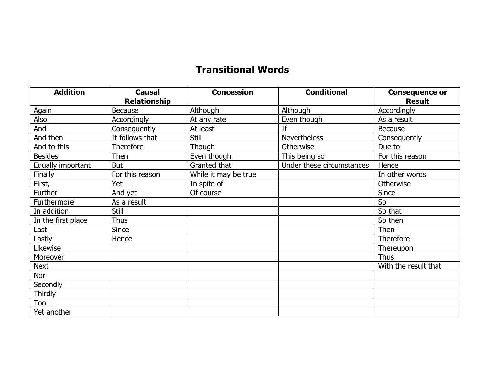## **Transitional Words**

| <b>Addition</b>    | <b>Causal</b><br><b>Relationship</b> | <b>Concession</b>    | <b>Conditional</b>        | <b>Consequence or</b><br><b>Result</b> |
|--------------------|--------------------------------------|----------------------|---------------------------|----------------------------------------|
| Again              | <b>Because</b>                       | Although             | Although                  | Accordingly                            |
| Also               | Accordingly                          | At any rate          | Even though               | As a result                            |
| And                | Consequently                         | At least             | If                        | Because                                |
| And then           | It follows that                      | <b>Still</b>         | <b>Nevertheless</b>       | Consequently                           |
| And to this        | <b>Therefore</b>                     | Though               | Otherwise                 | Due to                                 |
| <b>Besides</b>     | Then                                 | Even though          | This being so             | For this reason                        |
| Equally important  | <b>But</b>                           | Granted that         | Under these circumstances | Hence                                  |
| Finally            | For this reason                      | While it may be true |                           | In other words                         |
| First,             | Yet                                  | In spite of          |                           | Otherwise                              |
| Further            | And yet                              | Of course            |                           | <b>Since</b>                           |
| Furthermore        | As a result                          |                      |                           | So                                     |
| In addition        | Still                                |                      |                           | So that                                |
| In the first place | <b>Thus</b>                          |                      |                           | So then                                |
| Last               | <b>Since</b>                         |                      |                           | Then                                   |
| Lastly             | Hence                                |                      |                           | <b>Therefore</b>                       |
| Likewise           |                                      |                      |                           | Thereupon                              |
| Moreover           |                                      |                      |                           | Thus                                   |
| <b>Next</b>        |                                      |                      |                           | With the result that                   |
| Nor                |                                      |                      |                           |                                        |
| Secondly           |                                      |                      |                           |                                        |
| Thirdly            |                                      |                      |                           |                                        |
| Too                |                                      |                      |                           |                                        |
| Yet another        |                                      |                      |                           |                                        |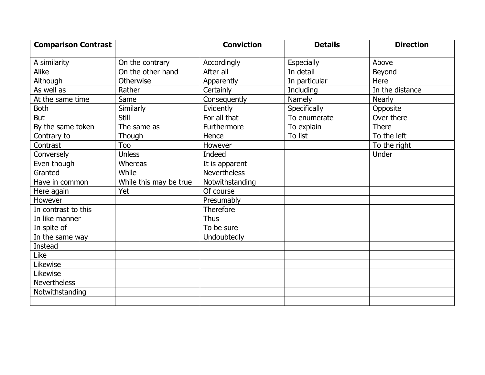| <b>Comparison Contrast</b> |                        | <b>Conviction</b>   | <b>Details</b>    | <b>Direction</b> |
|----------------------------|------------------------|---------------------|-------------------|------------------|
|                            |                        |                     |                   | Above            |
| A similarity               | On the contrary        | Accordingly         | <b>Especially</b> |                  |
| Alike                      | On the other hand      | After all           | In detail         | Beyond           |
| Although                   | Otherwise              | Apparently          | In particular     | Here             |
| As well as                 | Rather                 | Certainly           | Including         | In the distance  |
| At the same time           | Same                   | Consequently        | Namely            | <b>Nearly</b>    |
| <b>Both</b>                | Similarly              | Evidently           | Specifically      | Opposite         |
| <b>But</b>                 | Still                  | For all that        | To enumerate      | Over there       |
| By the same token          | The same as            | Furthermore         | To explain        | <b>There</b>     |
| Contrary to                | Though                 | Hence               | To list           | To the left      |
| Contrast                   | <b>Too</b>             | However             |                   | To the right     |
| Conversely                 | <b>Unless</b>          | Indeed              |                   | Under            |
| Even though                | Whereas                | It is apparent      |                   |                  |
| Granted                    | While                  | <b>Nevertheless</b> |                   |                  |
| Have in common             | While this may be true | Notwithstanding     |                   |                  |
| Here again                 | Yet                    | Of course           |                   |                  |
| However                    |                        | Presumably          |                   |                  |
| In contrast to this        |                        | Therefore           |                   |                  |
| In like manner             |                        | <b>Thus</b>         |                   |                  |
| In spite of                |                        | To be sure          |                   |                  |
| In the same way            |                        | Undoubtedly         |                   |                  |
| Instead                    |                        |                     |                   |                  |
| Like                       |                        |                     |                   |                  |
| Likewise                   |                        |                     |                   |                  |
| Likewise                   |                        |                     |                   |                  |
| <b>Nevertheless</b>        |                        |                     |                   |                  |
| Notwithstanding            |                        |                     |                   |                  |
|                            |                        |                     |                   |                  |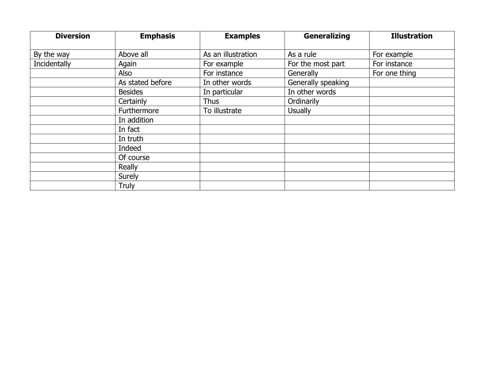| <b>Diversion</b> | <b>Emphasis</b>  | <b>Examples</b>    | <b>Generalizing</b> | <b>Illustration</b> |
|------------------|------------------|--------------------|---------------------|---------------------|
| By the way       | Above all        | As an illustration | As a rule           | For example         |
| Incidentally     | Again            | For example        | For the most part   | For instance        |
|                  | Also             | For instance       | Generally           | For one thing       |
|                  | As stated before | In other words     | Generally speaking  |                     |
|                  | <b>Besides</b>   | In particular      | In other words      |                     |
|                  | Certainly        | <b>Thus</b>        | Ordinarily          |                     |
|                  | Furthermore      | To illustrate      | <b>Usually</b>      |                     |
|                  | In addition      |                    |                     |                     |
|                  | In fact          |                    |                     |                     |
|                  | In truth         |                    |                     |                     |
|                  | Indeed           |                    |                     |                     |
|                  | Of course        |                    |                     |                     |
|                  | Really           |                    |                     |                     |
|                  | Surely           |                    |                     |                     |
|                  | Truly            |                    |                     |                     |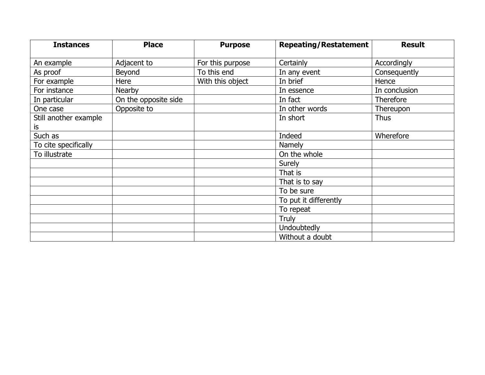| <b>Instances</b>      | <b>Place</b>         | <b>Purpose</b>   | <b>Repeating/Restatement</b> | <b>Result</b>    |
|-----------------------|----------------------|------------------|------------------------------|------------------|
| An example            | Adjacent to          | For this purpose | Certainly                    | Accordingly      |
| As proof              | Beyond               | To this end      | In any event                 | Consequently     |
| For example           | Here                 | With this object | In brief                     | Hence            |
| For instance          | <b>Nearby</b>        |                  | In essence                   | In conclusion    |
| In particular         | On the opposite side |                  | In fact                      | <b>Therefore</b> |
| One case              | Opposite to          |                  | In other words               | Thereupon        |
| Still another example |                      |                  | In short                     | <b>Thus</b>      |
| is                    |                      |                  |                              |                  |
| Such as               |                      |                  | Indeed                       | Wherefore        |
| To cite specifically  |                      |                  | Namely                       |                  |
| To illustrate         |                      |                  | On the whole                 |                  |
|                       |                      |                  | Surely                       |                  |
|                       |                      |                  | That is                      |                  |
|                       |                      |                  | That is to say               |                  |
|                       |                      |                  | To be sure                   |                  |
|                       |                      |                  | To put it differently        |                  |
|                       |                      |                  | To repeat                    |                  |
|                       |                      |                  | Truly                        |                  |
|                       |                      |                  | Undoubtedly                  |                  |
|                       |                      |                  | Without a doubt              |                  |